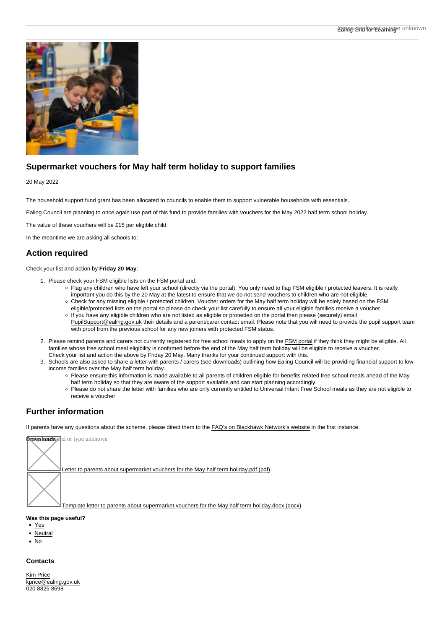## Supermarket vouchers for May half term holiday to support families

#### 20 May 2022

The household support fund grant has been allocated to councils to enable them to support vulnerable households with essentials.

Ealing Council are planning to once again use part of this fund to provide families with vouchers for the May 2022 half term school holiday.

The value of these vouchers will be £15 per eligible child.

In the meantime we are asking all schools to:

## Action required

Check your list and action by Friday 20 May :

- 1. Please check your FSM eligible lists on the FSM portal and:
	- Flag any children who have left your school (directly via the portal). You only need to flag FSM eligible / protected leavers. It is really important you do this by the 20 May at the latest to ensure that we do not send vouchers to children who are not eligible.
	- Check for any missing eligible / protected children. Voucher orders for the May half term holiday will be solely based on the FSM eligible/protected lists on the portal so please do check your list carefully to ensure all your eligible families receive a voucher.
	- If you have any eligible children who are not listed as eligible or protected on the portal then please (securely) email [PupilSupport@ealing.gov.uk](mailto:PupilSupport@ealing.gov.uk) their details and a parent/carer contact email. Please note that you will need to provide the pupil support team with proof from the previous school for any new joiners with protected FSM status.
- 2. Please remind parents and carers not currently registered for free school meals to apply on the [FSM portal](https://fsm.bslforum.com/ealing/Dseat.jsp) if they think they might be eligible. All families whose free school meal eligibility is confirmed before the end of the May half term holiday will be eligible to receive a voucher. Check your list and action the above by Friday 20 May. Many thanks for your continued support with this.
- 3. Schools are also asked to share a letter with parents / carers (see downloads) outlining how Ealing Council will be providing financial support to low income families over the May half term holiday.
	- Please ensure this information is made available to all parents of children eligible for benefits related free school meals ahead of the May half term holiday so that they are aware of the support available and can start planning accordingly.
	- Please do not share the letter with families who are only currently entitled to Universal Infant Free School meals as they are not eligible to receive a voucher

# Further information

If parents have any questions about the scheme, please direct them to the [FAQ's on Blackhawk Network's website](https://www.select-your-reward.co.uk/Faqs) in the first instance.



Was this page useful?

- [Yes](https://www.egfl.org.uk/page-useful/nojs/node/26890/yes)
- [Neutral](https://www.egfl.org.uk/page-useful/nojs/node/26890/neutral)
- [No](https://www.egfl.org.uk/page-useful/nojs/node/26890/no)

### **Contacts**

[Kim Price](https://www.egfl.org.uk/users/kim-price) [kprice@ealing.gov.uk](mailto:kprice@ealing.gov.uk) 020 8825 8698